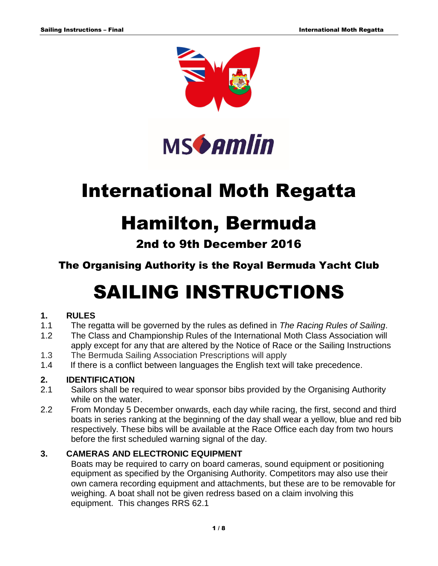



# International Moth Regatta

# Hamilton, Bermuda

2nd to 9th December 2016

# The Organising Authority is the Royal Bermuda Yacht Club

# SAILING INSTRUCTIONS

# **1. RULES**

- 1.1 The regatta will be governed by the rules as defined in *The Racing Rules of Sailing*.
- 1.2 The Class and Championship Rules of the International Moth Class Association will apply except for any that are altered by the Notice of Race or the Sailing Instructions
- 1.3 The Bermuda Sailing Association Prescriptions will apply
- 1.4 If there is a conflict between languages the English text will take precedence.

# **2. IDENTIFICATION**

- 2.1 Sailors shall be required to wear sponsor bibs provided by the Organising Authority while on the water.
- 2.2 From Monday 5 December onwards, each day while racing, the first, second and third boats in series ranking at the beginning of the day shall wear a yellow, blue and red bib respectively. These bibs will be available at the Race Office each day from two hours before the first scheduled warning signal of the day.

# **3. CAMERAS AND ELECTRONIC EQUIPMENT**

Boats may be required to carry on board cameras, sound equipment or positioning equipment as specified by the Organising Authority. Competitors may also use their own camera recording equipment and attachments, but these are to be removable for weighing. A boat shall not be given redress based on a claim involving this equipment. This changes RRS 62.1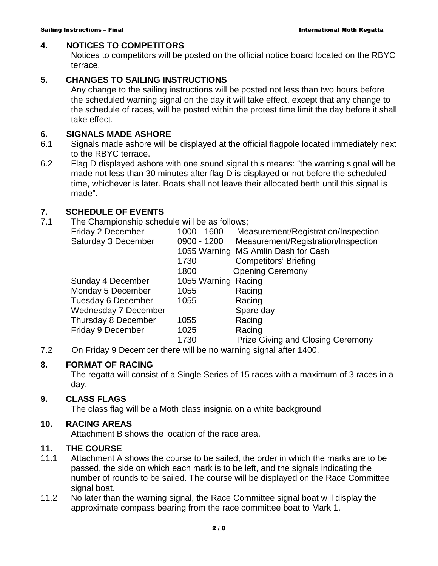### **4. NOTICES TO COMPETITORS**

Notices to competitors will be posted on the official notice board located on the RBYC terrace.

# **5. CHANGES TO SAILING INSTRUCTIONS**

Any change to the sailing instructions will be posted not less than two hours before the scheduled warning signal on the day it will take effect, except that any change to the schedule of races, will be posted within the protest time limit the day before it shall take effect.

### **6. SIGNALS MADE ASHORE**

- 6.1 Signals made ashore will be displayed at the official flagpole located immediately next to the RBYC terrace.
- 6.2 Flag D displayed ashore with one sound signal this means: "the warning signal will be made not less than 30 minutes after flag D is displayed or not before the scheduled time, whichever is later. Boats shall not leave their allocated berth until this signal is made".

# **7. SCHEDULE OF EVENTS**

7.1 The Championship schedule will be as follows;

| Friday 2 December           | 1000 - 1600         | Measurement/Registration/Inspection      |
|-----------------------------|---------------------|------------------------------------------|
| Saturday 3 December         | 0900 - 1200         | Measurement/Registration/Inspection      |
|                             | 1055 Warning        | MS Amlin Dash for Cash                   |
|                             | 1730                | <b>Competitors' Briefing</b>             |
|                             | 1800                | <b>Opening Ceremony</b>                  |
| Sunday 4 December           | 1055 Warning Racing |                                          |
| Monday 5 December           | 1055                | Racing                                   |
| Tuesday 6 December          | 1055                | Racing                                   |
| <b>Wednesday 7 December</b> |                     | Spare day                                |
| <b>Thursday 8 December</b>  | 1055                | Racing                                   |
| Friday 9 December           | 1025                | Racing                                   |
|                             | 1730                | <b>Prize Giving and Closing Ceremony</b> |

7.2 On Friday 9 December there will be no warning signal after 1400.

# **8. FORMAT OF RACING**

The regatta will consist of a Single Series of 15 races with a maximum of 3 races in a day.

# **9. CLASS FLAGS**

The class flag will be a Moth class insignia on a white background

# **10. RACING AREAS**

Attachment B shows the location of the race area.

### **11. THE COURSE**

- 11.1 Attachment A shows the course to be sailed, the order in which the marks are to be passed, the side on which each mark is to be left, and the signals indicating the number of rounds to be sailed. The course will be displayed on the Race Committee signal boat.
- 11.2 No later than the warning signal, the Race Committee signal boat will display the approximate compass bearing from the race committee boat to Mark 1.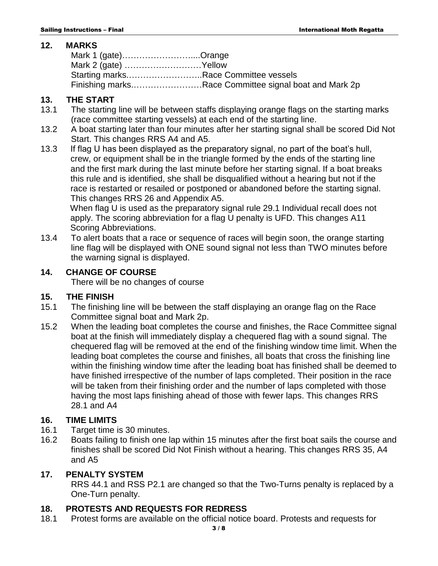#### **12. MARKS**

Mark 1 (gate)……………………....Orange Mark 2 (gate) ………………………Yellow Starting marks.……………………..Race Committee vessels Finishing marks.……………………Race Committee signal boat and Mark 2p

### **13. THE START**

- 13.1 The starting line will be between staffs displaying orange flags on the starting marks (race committee starting vessels) at each end of the starting line.
- 13.2 A boat starting later than four minutes after her starting signal shall be scored Did Not Start. This changes RRS A4 and A5.
- 13.3 If flag U has been displayed as the preparatory signal, no part of the boat's hull, crew, or equipment shall be in the triangle formed by the ends of the starting line and the first mark during the last minute before her starting signal. If a boat breaks this rule and is identified, she shall be disqualified without a hearing but not if the race is restarted or resailed or postponed or abandoned before the starting signal. This changes RRS 26 and Appendix A5.

 When flag U is used as the preparatory signal rule 29.1 Individual recall does not apply. The scoring abbreviation for a flag U penalty is UFD. This changes A11 Scoring Abbreviations.

13.4 To alert boats that a race or sequence of races will begin soon, the orange starting line flag will be displayed with ONE sound signal not less than TWO minutes before the warning signal is displayed.

### **14. CHANGE OF COURSE**

There will be no changes of course

### **15. THE FINISH**

- 15.1 The finishing line will be between the staff displaying an orange flag on the Race Committee signal boat and Mark 2p.
- 15.2 When the leading boat completes the course and finishes, the Race Committee signal boat at the finish will immediately display a chequered flag with a sound signal. The chequered flag will be removed at the end of the finishing window time limit. When the leading boat completes the course and finishes, all boats that cross the finishing line within the finishing window time after the leading boat has finished shall be deemed to have finished irrespective of the number of laps completed. Their position in the race will be taken from their finishing order and the number of laps completed with those having the most laps finishing ahead of those with fewer laps. This changes RRS 28.1 and A4

### **16. TIME LIMITS**

- 16.1 Target time is 30 minutes.
- 16.2 Boats failing to finish one lap within 15 minutes after the first boat sails the course and finishes shall be scored Did Not Finish without a hearing. This changes RRS 35, A4 and A5

### **17. PENALTY SYSTEM**

RRS 44.1 and RSS P2.1 are changed so that the Two-Turns penalty is replaced by a One-Turn penalty.

# **18. PROTESTS AND REQUESTS FOR REDRESS**

18.1 Protest forms are available on the official notice board. Protests and requests for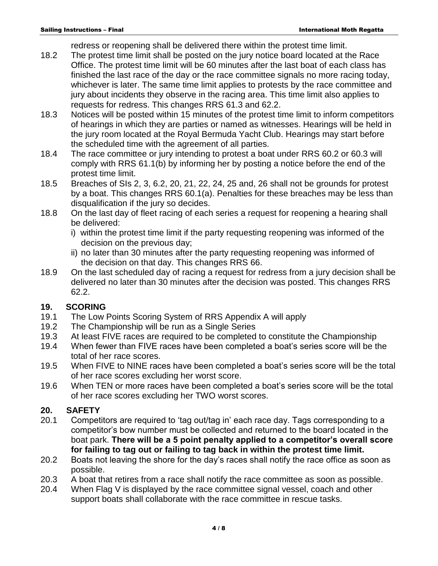redress or reopening shall be delivered there within the protest time limit.

- 18.2 The protest time limit shall be posted on the jury notice board located at the Race Office. The protest time limit will be 60 minutes after the last boat of each class has finished the last race of the day or the race committee signals no more racing today, whichever is later. The same time limit applies to protests by the race committee and jury about incidents they observe in the racing area. This time limit also applies to requests for redress. This changes RRS 61.3 and 62.2.
- 18.3 Notices will be posted within 15 minutes of the protest time limit to inform competitors of hearings in which they are parties or named as witnesses. Hearings will be held in the jury room located at the Royal Bermuda Yacht Club. Hearings may start before the scheduled time with the agreement of all parties.
- 18.4 The race committee or jury intending to protest a boat under RRS 60.2 or 60.3 will comply with RRS 61.1(b) by informing her by posting a notice before the end of the protest time limit.
- 18.5 Breaches of SIs 2, 3, 6.2, 20, 21, 22, 24, 25 and, 26 shall not be grounds for protest by a boat. This changes RRS 60.1(a). Penalties for these breaches may be less than disqualification if the jury so decides.
- 18.8 On the last day of fleet racing of each series a request for reopening a hearing shall be delivered:
	- i) within the protest time limit if the party requesting reopening was informed of the decision on the previous day;
	- ii) no later than 30 minutes after the party requesting reopening was informed of the decision on that day. This changes RRS 66.
- 18.9 On the last scheduled day of racing a request for redress from a jury decision shall be delivered no later than 30 minutes after the decision was posted. This changes RRS 62.2.

# **19. SCORING**

- 19.1 The Low Points Scoring System of RRS Appendix A will apply
- 19.2 The Championship will be run as a Single Series
- 19.3 At least FIVE races are required to be completed to constitute the Championship
- 19.4 When fewer than FIVE races have been completed a boat's series score will be the total of her race scores.
- 19.5 When FIVE to NINE races have been completed a boat's series score will be the total of her race scores excluding her worst score.
- 19.6 When TEN or more races have been completed a boat's series score will be the total of her race scores excluding her TWO worst scores.

# **20. SAFETY**

- 20.1 Competitors are required to 'tag out/tag in' each race day. Tags corresponding to a competitor's bow number must be collected and returned to the board located in the boat park. **There will be a 5 point penalty applied to a competitor's overall score for failing to tag out or failing to tag back in within the protest time limit.**
- 20.2 Boats not leaving the shore for the day's races shall notify the race office as soon as possible.
- 20.3 A boat that retires from a race shall notify the race committee as soon as possible.
- 20.4 When Flag V is displayed by the race committee signal vessel, coach and other support boats shall collaborate with the race committee in rescue tasks.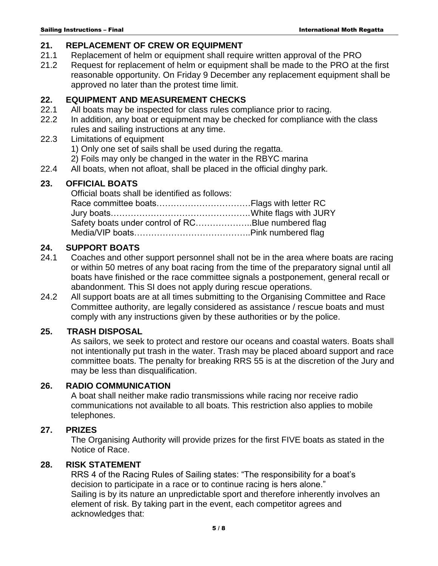### **21. REPLACEMENT OF CREW OR EQUIPMENT**

- 21.1 Replacement of helm or equipment shall require written approval of the PRO
- 21.2 Request for replacement of helm or equipment shall be made to the PRO at the first reasonable opportunity. On Friday 9 December any replacement equipment shall be approved no later than the protest time limit.

# **22. EQUIPMENT AND MEASUREMENT CHECKS**

- 22.1 All boats may be inspected for class rules compliance prior to racing.
- 22.2 In addition, any boat or equipment may be checked for compliance with the class rules and sailing instructions at any time.
- 22.3 Limitations of equipment
	- 1) Only one set of sails shall be used during the regatta.
	- 2) Foils may only be changed in the water in the RBYC marina
- 22.4 All boats, when not afloat, shall be placed in the official dinghy park.

# **23. OFFICIAL BOATS**

 Official boats shall be identified as follows: Race committee boats……………………………Flags with letter RC Jury boats………………………………………….White flags with JURY Safety boats under control of RC………………..Blue numbered flag Media/VIP boats…………………………………..Pink numbered flag

# **24. SUPPORT BOATS**

- 24.1 Coaches and other support personnel shall not be in the area where boats are racing or within 50 metres of any boat racing from the time of the preparatory signal until all boats have finished or the race committee signals a postponement, general recall or abandonment. This SI does not apply during rescue operations.
- 24.2 All support boats are at all times submitting to the Organising Committee and Race Committee authority, are legally considered as assistance / rescue boats and must comply with any instructions given by these authorities or by the police.

# **25. TRASH DISPOSAL**

As sailors, we seek to protect and restore our oceans and coastal waters. Boats shall not intentionally put trash in the water. Trash may be placed aboard support and race committee boats. The penalty for breaking RRS 55 is at the discretion of the Jury and may be less than disqualification.

# **26. RADIO COMMUNICATION**

 A boat shall neither make radio transmissions while racing nor receive radio communications not available to all boats. This restriction also applies to mobile telephones.

# **27. PRIZES**

The Organising Authority will provide prizes for the first FIVE boats as stated in the Notice of Race.

# **28. RISK STATEMENT**

RRS 4 of the Racing Rules of Sailing states: "The responsibility for a boat's decision to participate in a race or to continue racing is hers alone." Sailing is by its nature an unpredictable sport and therefore inherently involves an element of risk. By taking part in the event, each competitor agrees and acknowledges that: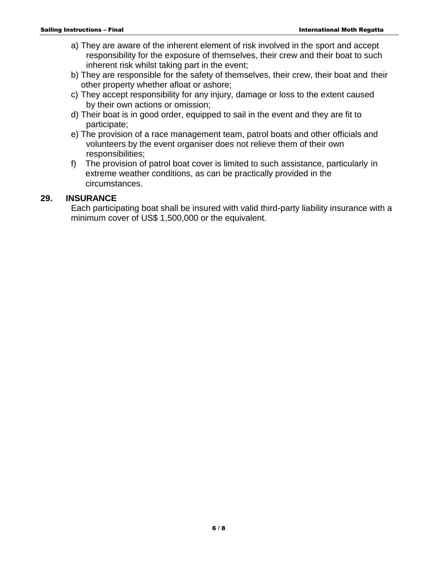- a) They are aware of the inherent element of risk involved in the sport and accept responsibility for the exposure of themselves, their crew and their boat to such inherent risk whilst taking part in the event;
- b) They are responsible for the safety of themselves, their crew, their boat and their other property whether afloat or ashore;
- c) They accept responsibility for any injury, damage or loss to the extent caused by their own actions or omission;
- d) Their boat is in good order, equipped to sail in the event and they are fit to participate;
- e) The provision of a race management team, patrol boats and other officials and volunteers by the event organiser does not relieve them of their own responsibilities;
- f) The provision of patrol boat cover is limited to such assistance, particularly in extreme weather conditions, as can be practically provided in the circumstances.

#### **29. INSURANCE**

Each participating boat shall be insured with valid third-party liability insurance with a minimum cover of US\$ 1,500,000 or the equivalent.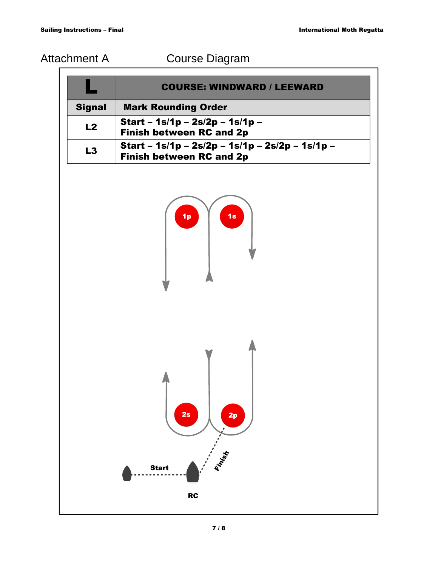Attachment A Course Diagram

|               | <b>COURSE: WINDWARD / LEEWARD</b>                                                  |
|---------------|------------------------------------------------------------------------------------|
| <b>Signal</b> | <b>Mark Rounding Order</b>                                                         |
| L2            | Start - 1s/1p - 2s/2p - 1s/1p -<br><b>Finish between RC and 2p</b>                 |
| L3            | Start - 1s/1p - 2s/2p - 1s/1p - 2s/2p - 1s/1p -<br><b>Finish between RC and 2p</b> |
|               | 1s<br>1 <sub>p</sub>                                                               |
|               | 2s<br>2p<br><b>Start</b><br><b>RC</b>                                              |